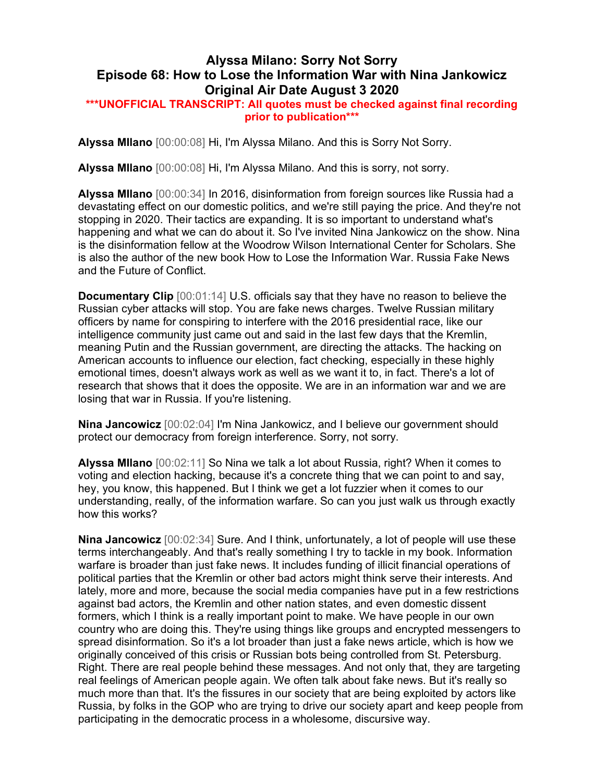## Alyssa Milano: Sorry Not Sorry Episode 68: How to Lose the Information War with Nina Jankowicz Original Air Date August 3 2020

## \*\*\*UNOFFICIAL TRANSCRIPT: All quotes must be checked against final recording prior to publication\*\*\*

Alyssa MIlano [00:00:08] Hi, I'm Alyssa Milano. And this is Sorry Not Sorry.

Alyssa MIlano [00:00:08] Hi, I'm Alyssa Milano. And this is sorry, not sorry.

Alyssa MIlano [00:00:34] In 2016, disinformation from foreign sources like Russia had a devastating effect on our domestic politics, and we're still paying the price. And they're not stopping in 2020. Their tactics are expanding. It is so important to understand what's happening and what we can do about it. So I've invited Nina Jankowicz on the show. Nina is the disinformation fellow at the Woodrow Wilson International Center for Scholars. She is also the author of the new book How to Lose the Information War. Russia Fake News and the Future of Conflict.

**Documentary Clip** [00:01:14] U.S. officials say that they have no reason to believe the Russian cyber attacks will stop. You are fake news charges. Twelve Russian military officers by name for conspiring to interfere with the 2016 presidential race, like our intelligence community just came out and said in the last few days that the Kremlin, meaning Putin and the Russian government, are directing the attacks. The hacking on American accounts to influence our election, fact checking, especially in these highly emotional times, doesn't always work as well as we want it to, in fact. There's a lot of research that shows that it does the opposite. We are in an information war and we are losing that war in Russia. If you're listening.

Nina Jancowicz [00:02:04] I'm Nina Jankowicz, and I believe our government should protect our democracy from foreign interference. Sorry, not sorry.

Alyssa MIlano [00:02:11] So Nina we talk a lot about Russia, right? When it comes to voting and election hacking, because it's a concrete thing that we can point to and say, hey, you know, this happened. But I think we get a lot fuzzier when it comes to our understanding, really, of the information warfare. So can you just walk us through exactly how this works?

Nina Jancowicz [00:02:34] Sure. And I think, unfortunately, a lot of people will use these terms interchangeably. And that's really something I try to tackle in my book. Information warfare is broader than just fake news. It includes funding of illicit financial operations of political parties that the Kremlin or other bad actors might think serve their interests. And lately, more and more, because the social media companies have put in a few restrictions against bad actors, the Kremlin and other nation states, and even domestic dissent formers, which I think is a really important point to make. We have people in our own country who are doing this. They're using things like groups and encrypted messengers to spread disinformation. So it's a lot broader than just a fake news article, which is how we originally conceived of this crisis or Russian bots being controlled from St. Petersburg. Right. There are real people behind these messages. And not only that, they are targeting real feelings of American people again. We often talk about fake news. But it's really so much more than that. It's the fissures in our society that are being exploited by actors like Russia, by folks in the GOP who are trying to drive our society apart and keep people from participating in the democratic process in a wholesome, discursive way.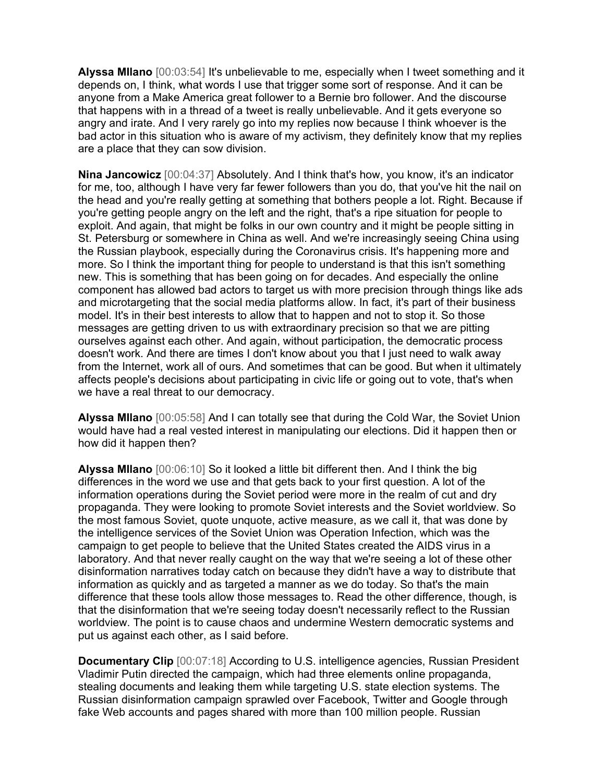Alyssa MIlano [00:03:54] It's unbelievable to me, especially when I tweet something and it depends on, I think, what words I use that trigger some sort of response. And it can be anyone from a Make America great follower to a Bernie bro follower. And the discourse that happens with in a thread of a tweet is really unbelievable. And it gets everyone so angry and irate. And I very rarely go into my replies now because I think whoever is the bad actor in this situation who is aware of my activism, they definitely know that my replies are a place that they can sow division.

Nina Jancowicz [00:04:37] Absolutely. And I think that's how, you know, it's an indicator for me, too, although I have very far fewer followers than you do, that you've hit the nail on the head and you're really getting at something that bothers people a lot. Right. Because if you're getting people angry on the left and the right, that's a ripe situation for people to exploit. And again, that might be folks in our own country and it might be people sitting in St. Petersburg or somewhere in China as well. And we're increasingly seeing China using the Russian playbook, especially during the Coronavirus crisis. It's happening more and more. So I think the important thing for people to understand is that this isn't something new. This is something that has been going on for decades. And especially the online component has allowed bad actors to target us with more precision through things like ads and microtargeting that the social media platforms allow. In fact, it's part of their business model. It's in their best interests to allow that to happen and not to stop it. So those messages are getting driven to us with extraordinary precision so that we are pitting ourselves against each other. And again, without participation, the democratic process doesn't work. And there are times I don't know about you that I just need to walk away from the Internet, work all of ours. And sometimes that can be good. But when it ultimately affects people's decisions about participating in civic life or going out to vote, that's when we have a real threat to our democracy.

Alyssa MIlano [00:05:58] And I can totally see that during the Cold War, the Soviet Union would have had a real vested interest in manipulating our elections. Did it happen then or how did it happen then?

Alyssa MIlano [00:06:10] So it looked a little bit different then. And I think the big differences in the word we use and that gets back to your first question. A lot of the information operations during the Soviet period were more in the realm of cut and dry propaganda. They were looking to promote Soviet interests and the Soviet worldview. So the most famous Soviet, quote unquote, active measure, as we call it, that was done by the intelligence services of the Soviet Union was Operation Infection, which was the campaign to get people to believe that the United States created the AIDS virus in a laboratory. And that never really caught on the way that we're seeing a lot of these other disinformation narratives today catch on because they didn't have a way to distribute that information as quickly and as targeted a manner as we do today. So that's the main difference that these tools allow those messages to. Read the other difference, though, is that the disinformation that we're seeing today doesn't necessarily reflect to the Russian worldview. The point is to cause chaos and undermine Western democratic systems and put us against each other, as I said before.

**Documentary Clip** [00:07:18] According to U.S. intelligence agencies, Russian President Vladimir Putin directed the campaign, which had three elements online propaganda, stealing documents and leaking them while targeting U.S. state election systems. The Russian disinformation campaign sprawled over Facebook, Twitter and Google through fake Web accounts and pages shared with more than 100 million people. Russian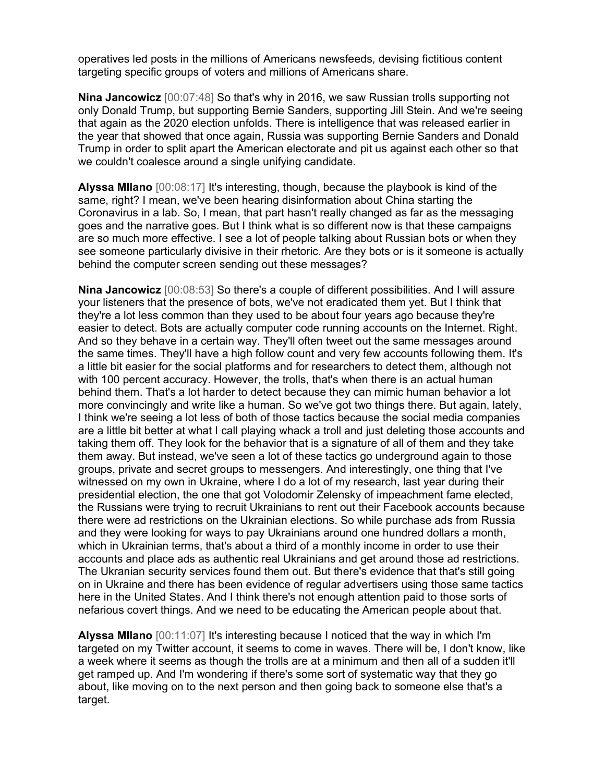operatives led posts in the millions of Americans newsfeeds, devising fictitious content targeting specific groups of voters and millions of Americans share.

Nina Jancowicz [00:07:48] So that's why in 2016, we saw Russian trolls supporting not only Donald Trump, but supporting Bernie Sanders, supporting Jill Stein. And we're seeing that again as the 2020 election unfolds. There is intelligence that was released earlier in the year that showed that once again, Russia was supporting Bernie Sanders and Donald Trump in order to split apart the American electorate and pit us against each other so that we couldn't coalesce around a single unifying candidate.

Alyssa MIlano [00:08:17] It's interesting, though, because the playbook is kind of the same, right? I mean, we've been hearing disinformation about China starting the Coronavirus in a lab. So, I mean, that part hasn't really changed as far as the messaging goes and the narrative goes. But I think what is so different now is that these campaigns are so much more effective. I see a lot of people talking about Russian bots or when they see someone particularly divisive in their rhetoric. Are they bots or is it someone is actually behind the computer screen sending out these messages?

Nina Jancowicz [00:08:53] So there's a couple of different possibilities. And I will assure your listeners that the presence of bots, we've not eradicated them yet. But I think that they're a lot less common than they used to be about four years ago because they're easier to detect. Bots are actually computer code running accounts on the Internet. Right. And so they behave in a certain way. They'll often tweet out the same messages around the same times. They'll have a high follow count and very few accounts following them. It's a little bit easier for the social platforms and for researchers to detect them, although not with 100 percent accuracy. However, the trolls, that's when there is an actual human behind them. That's a lot harder to detect because they can mimic human behavior a lot more convincingly and write like a human. So we've got two things there. But again, lately, I think we're seeing a lot less of both of those tactics because the social media companies are a little bit better at what I call playing whack a troll and just deleting those accounts and taking them off. They look for the behavior that is a signature of all of them and they take them away. But instead, we've seen a lot of these tactics go underground again to those groups, private and secret groups to messengers. And interestingly, one thing that I've witnessed on my own in Ukraine, where I do a lot of my research, last year during their presidential election, the one that got Volodomir Zelensky of impeachment fame elected, the Russians were trying to recruit Ukrainians to rent out their Facebook accounts because there were ad restrictions on the Ukrainian elections. So while purchase ads from Russia and they were looking for ways to pay Ukrainians around one hundred dollars a month, which in Ukrainian terms, that's about a third of a monthly income in order to use their accounts and place ads as authentic real Ukrainians and get around those ad restrictions. The Ukranian security services found them out. But there's evidence that that's still going on in Ukraine and there has been evidence of regular advertisers using those same tactics here in the United States. And I think there's not enough attention paid to those sorts of nefarious covert things. And we need to be educating the American people about that.

**Alyssa Milano**  $[00:11:07]$  It's interesting because I noticed that the way in which I'm targeted on my Twitter account, it seems to come in waves. There will be, I don't know, like a week where it seems as though the trolls are at a minimum and then all of a sudden it'll get ramped up. And I'm wondering if there's some sort of systematic way that they go about, like moving on to the next person and then going back to someone else that's a target.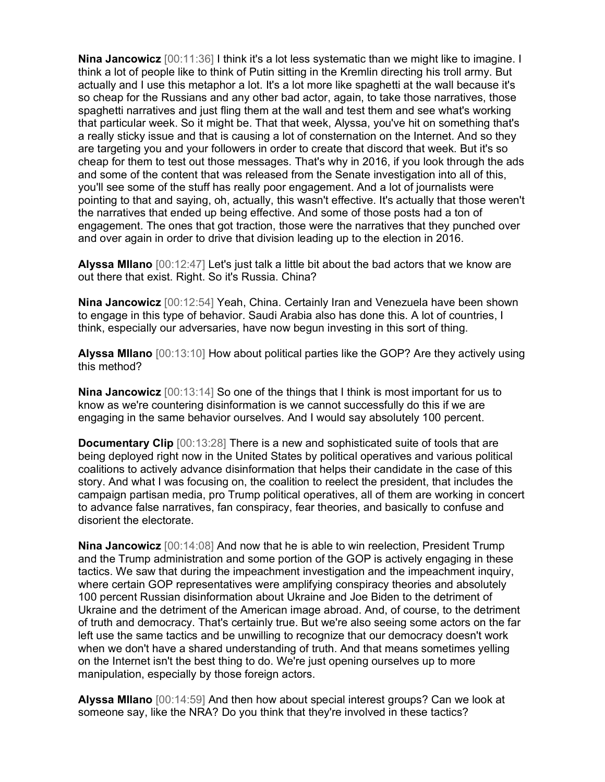**Nina Jancowicz** [00:11:36] I think it's a lot less systematic than we might like to imagine. I think a lot of people like to think of Putin sitting in the Kremlin directing his troll army. But actually and I use this metaphor a lot. It's a lot more like spaghetti at the wall because it's so cheap for the Russians and any other bad actor, again, to take those narratives, those spaghetti narratives and just fling them at the wall and test them and see what's working that particular week. So it might be. That that week, Alyssa, you've hit on something that's a really sticky issue and that is causing a lot of consternation on the Internet. And so they are targeting you and your followers in order to create that discord that week. But it's so cheap for them to test out those messages. That's why in 2016, if you look through the ads and some of the content that was released from the Senate investigation into all of this, you'll see some of the stuff has really poor engagement. And a lot of journalists were pointing to that and saying, oh, actually, this wasn't effective. It's actually that those weren't the narratives that ended up being effective. And some of those posts had a ton of engagement. The ones that got traction, those were the narratives that they punched over and over again in order to drive that division leading up to the election in 2016.

Alyssa MIlano [00:12:47] Let's just talk a little bit about the bad actors that we know are out there that exist. Right. So it's Russia. China?

Nina Jancowicz [00:12:54] Yeah, China. Certainly Iran and Venezuela have been shown to engage in this type of behavior. Saudi Arabia also has done this. A lot of countries, I think, especially our adversaries, have now begun investing in this sort of thing.

Alyssa MIlano [00:13:10] How about political parties like the GOP? Are they actively using this method?

Nina Jancowicz [00:13:14] So one of the things that I think is most important for us to know as we're countering disinformation is we cannot successfully do this if we are engaging in the same behavior ourselves. And I would say absolutely 100 percent.

**Documentary Clip** [00:13:28] There is a new and sophisticated suite of tools that are being deployed right now in the United States by political operatives and various political coalitions to actively advance disinformation that helps their candidate in the case of this story. And what I was focusing on, the coalition to reelect the president, that includes the campaign partisan media, pro Trump political operatives, all of them are working in concert to advance false narratives, fan conspiracy, fear theories, and basically to confuse and disorient the electorate.

Nina Jancowicz [00:14:08] And now that he is able to win reelection, President Trump and the Trump administration and some portion of the GOP is actively engaging in these tactics. We saw that during the impeachment investigation and the impeachment inquiry, where certain GOP representatives were amplifying conspiracy theories and absolutely 100 percent Russian disinformation about Ukraine and Joe Biden to the detriment of Ukraine and the detriment of the American image abroad. And, of course, to the detriment of truth and democracy. That's certainly true. But we're also seeing some actors on the far left use the same tactics and be unwilling to recognize that our democracy doesn't work when we don't have a shared understanding of truth. And that means sometimes yelling on the Internet isn't the best thing to do. We're just opening ourselves up to more manipulation, especially by those foreign actors.

Alyssa MIlano [00:14:59] And then how about special interest groups? Can we look at someone say, like the NRA? Do you think that they're involved in these tactics?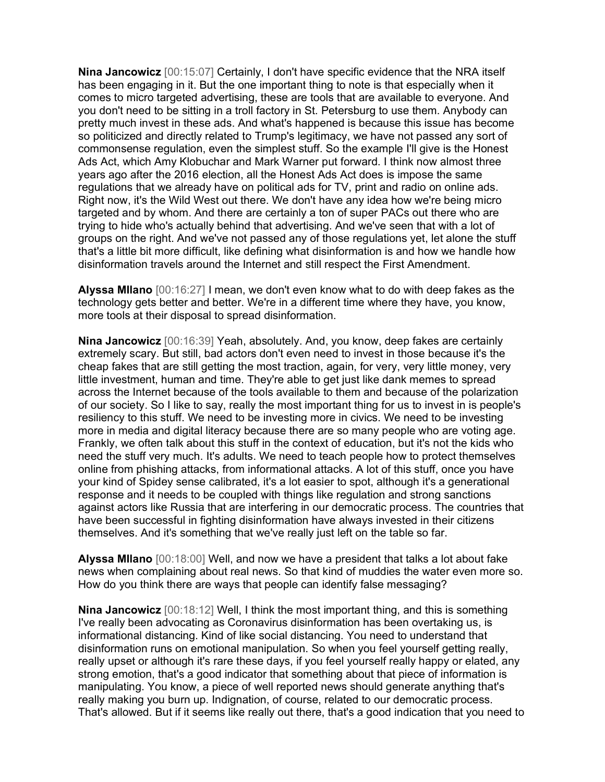Nina Jancowicz [00:15:07] Certainly, I don't have specific evidence that the NRA itself has been engaging in it. But the one important thing to note is that especially when it comes to micro targeted advertising, these are tools that are available to everyone. And you don't need to be sitting in a troll factory in St. Petersburg to use them. Anybody can pretty much invest in these ads. And what's happened is because this issue has become so politicized and directly related to Trump's legitimacy, we have not passed any sort of commonsense regulation, even the simplest stuff. So the example I'll give is the Honest Ads Act, which Amy Klobuchar and Mark Warner put forward. I think now almost three years ago after the 2016 election, all the Honest Ads Act does is impose the same regulations that we already have on political ads for TV, print and radio on online ads. Right now, it's the Wild West out there. We don't have any idea how we're being micro targeted and by whom. And there are certainly a ton of super PACs out there who are trying to hide who's actually behind that advertising. And we've seen that with a lot of groups on the right. And we've not passed any of those regulations yet, let alone the stuff that's a little bit more difficult, like defining what disinformation is and how we handle how disinformation travels around the Internet and still respect the First Amendment.

Alyssa MIlano [00:16:27] I mean, we don't even know what to do with deep fakes as the technology gets better and better. We're in a different time where they have, you know, more tools at their disposal to spread disinformation.

Nina Jancowicz [00:16:39] Yeah, absolutely. And, you know, deep fakes are certainly extremely scary. But still, bad actors don't even need to invest in those because it's the cheap fakes that are still getting the most traction, again, for very, very little money, very little investment, human and time. They're able to get just like dank memes to spread across the Internet because of the tools available to them and because of the polarization of our society. So I like to say, really the most important thing for us to invest in is people's resiliency to this stuff. We need to be investing more in civics. We need to be investing more in media and digital literacy because there are so many people who are voting age. Frankly, we often talk about this stuff in the context of education, but it's not the kids who need the stuff very much. It's adults. We need to teach people how to protect themselves online from phishing attacks, from informational attacks. A lot of this stuff, once you have your kind of Spidey sense calibrated, it's a lot easier to spot, although it's a generational response and it needs to be coupled with things like regulation and strong sanctions against actors like Russia that are interfering in our democratic process. The countries that have been successful in fighting disinformation have always invested in their citizens themselves. And it's something that we've really just left on the table so far.

Alyssa MIlano [00:18:00] Well, and now we have a president that talks a lot about fake news when complaining about real news. So that kind of muddies the water even more so. How do you think there are ways that people can identify false messaging?

Nina Jancowicz [00:18:12] Well, I think the most important thing, and this is something I've really been advocating as Coronavirus disinformation has been overtaking us, is informational distancing. Kind of like social distancing. You need to understand that disinformation runs on emotional manipulation. So when you feel yourself getting really, really upset or although it's rare these days, if you feel yourself really happy or elated, any strong emotion, that's a good indicator that something about that piece of information is manipulating. You know, a piece of well reported news should generate anything that's really making you burn up. Indignation, of course, related to our democratic process. That's allowed. But if it seems like really out there, that's a good indication that you need to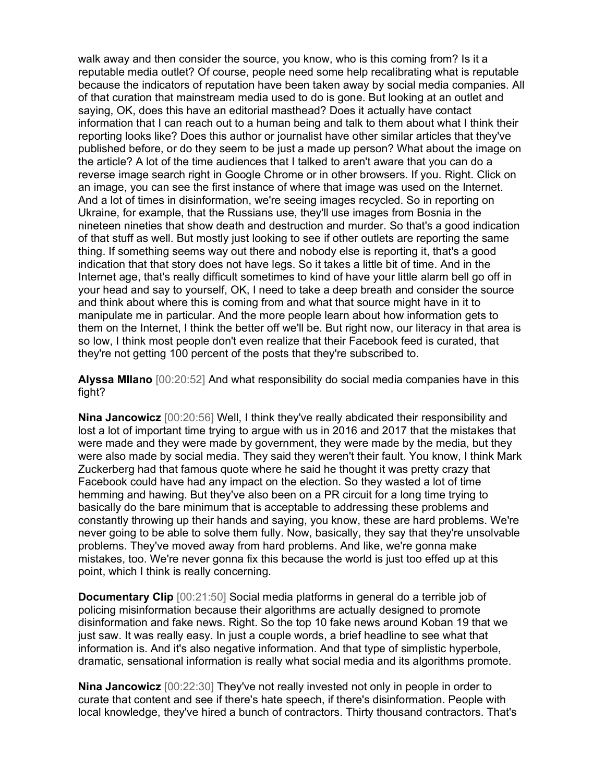walk away and then consider the source, you know, who is this coming from? Is it a reputable media outlet? Of course, people need some help recalibrating what is reputable because the indicators of reputation have been taken away by social media companies. All of that curation that mainstream media used to do is gone. But looking at an outlet and saying, OK, does this have an editorial masthead? Does it actually have contact information that I can reach out to a human being and talk to them about what I think their reporting looks like? Does this author or journalist have other similar articles that they've published before, or do they seem to be just a made up person? What about the image on the article? A lot of the time audiences that I talked to aren't aware that you can do a reverse image search right in Google Chrome or in other browsers. If you. Right. Click on an image, you can see the first instance of where that image was used on the Internet. And a lot of times in disinformation, we're seeing images recycled. So in reporting on Ukraine, for example, that the Russians use, they'll use images from Bosnia in the nineteen nineties that show death and destruction and murder. So that's a good indication of that stuff as well. But mostly just looking to see if other outlets are reporting the same thing. If something seems way out there and nobody else is reporting it, that's a good indication that that story does not have legs. So it takes a little bit of time. And in the Internet age, that's really difficult sometimes to kind of have your little alarm bell go off in your head and say to yourself, OK, I need to take a deep breath and consider the source and think about where this is coming from and what that source might have in it to manipulate me in particular. And the more people learn about how information gets to them on the Internet, I think the better off we'll be. But right now, our literacy in that area is so low, I think most people don't even realize that their Facebook feed is curated, that they're not getting 100 percent of the posts that they're subscribed to.

Alyssa Milano [00:20:52] And what responsibility do social media companies have in this fight?

Nina Jancowicz [00:20:56] Well, I think they've really abdicated their responsibility and lost a lot of important time trying to argue with us in 2016 and 2017 that the mistakes that were made and they were made by government, they were made by the media, but they were also made by social media. They said they weren't their fault. You know, I think Mark Zuckerberg had that famous quote where he said he thought it was pretty crazy that Facebook could have had any impact on the election. So they wasted a lot of time hemming and hawing. But they've also been on a PR circuit for a long time trying to basically do the bare minimum that is acceptable to addressing these problems and constantly throwing up their hands and saying, you know, these are hard problems. We're never going to be able to solve them fully. Now, basically, they say that they're unsolvable problems. They've moved away from hard problems. And like, we're gonna make mistakes, too. We're never gonna fix this because the world is just too effed up at this point, which I think is really concerning.

Documentary Clip [00:21:50] Social media platforms in general do a terrible job of policing misinformation because their algorithms are actually designed to promote disinformation and fake news. Right. So the top 10 fake news around Koban 19 that we just saw. It was really easy. In just a couple words, a brief headline to see what that information is. And it's also negative information. And that type of simplistic hyperbole, dramatic, sensational information is really what social media and its algorithms promote.

Nina Jancowicz [00:22:30] They've not really invested not only in people in order to curate that content and see if there's hate speech, if there's disinformation. People with local knowledge, they've hired a bunch of contractors. Thirty thousand contractors. That's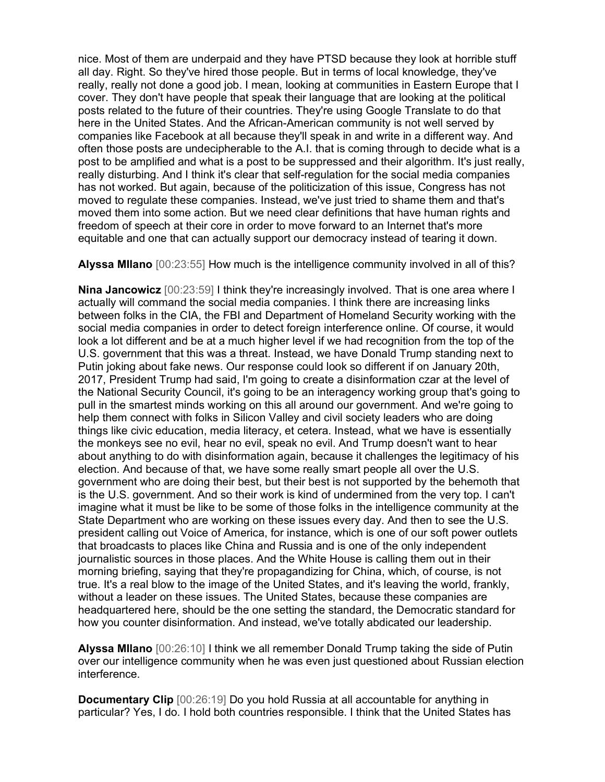nice. Most of them are underpaid and they have PTSD because they look at horrible stuff all day. Right. So they've hired those people. But in terms of local knowledge, they've really, really not done a good job. I mean, looking at communities in Eastern Europe that I cover. They don't have people that speak their language that are looking at the political posts related to the future of their countries. They're using Google Translate to do that here in the United States. And the African-American community is not well served by companies like Facebook at all because they'll speak in and write in a different way. And often those posts are undecipherable to the A.I. that is coming through to decide what is a post to be amplified and what is a post to be suppressed and their algorithm. It's just really, really disturbing. And I think it's clear that self-regulation for the social media companies has not worked. But again, because of the politicization of this issue, Congress has not moved to regulate these companies. Instead, we've just tried to shame them and that's moved them into some action. But we need clear definitions that have human rights and freedom of speech at their core in order to move forward to an Internet that's more equitable and one that can actually support our democracy instead of tearing it down.

Alyssa Milano [00:23:55] How much is the intelligence community involved in all of this?

**Nina Jancowicz** [00:23:59] I think they're increasingly involved. That is one area where I actually will command the social media companies. I think there are increasing links between folks in the CIA, the FBI and Department of Homeland Security working with the social media companies in order to detect foreign interference online. Of course, it would look a lot different and be at a much higher level if we had recognition from the top of the U.S. government that this was a threat. Instead, we have Donald Trump standing next to Putin joking about fake news. Our response could look so different if on January 20th, 2017, President Trump had said, I'm going to create a disinformation czar at the level of the National Security Council, it's going to be an interagency working group that's going to pull in the smartest minds working on this all around our government. And we're going to help them connect with folks in Silicon Valley and civil society leaders who are doing things like civic education, media literacy, et cetera. Instead, what we have is essentially the monkeys see no evil, hear no evil, speak no evil. And Trump doesn't want to hear about anything to do with disinformation again, because it challenges the legitimacy of his election. And because of that, we have some really smart people all over the U.S. government who are doing their best, but their best is not supported by the behemoth that is the U.S. government. And so their work is kind of undermined from the very top. I can't imagine what it must be like to be some of those folks in the intelligence community at the State Department who are working on these issues every day. And then to see the U.S. president calling out Voice of America, for instance, which is one of our soft power outlets that broadcasts to places like China and Russia and is one of the only independent journalistic sources in those places. And the White House is calling them out in their morning briefing, saying that they're propagandizing for China, which, of course, is not true. It's a real blow to the image of the United States, and it's leaving the world, frankly, without a leader on these issues. The United States, because these companies are headquartered here, should be the one setting the standard, the Democratic standard for how you counter disinformation. And instead, we've totally abdicated our leadership.

Alyssa MIlano [00:26:10] I think we all remember Donald Trump taking the side of Putin over our intelligence community when he was even just questioned about Russian election interference.

Documentary Clip [00:26:19] Do you hold Russia at all accountable for anything in particular? Yes, I do. I hold both countries responsible. I think that the United States has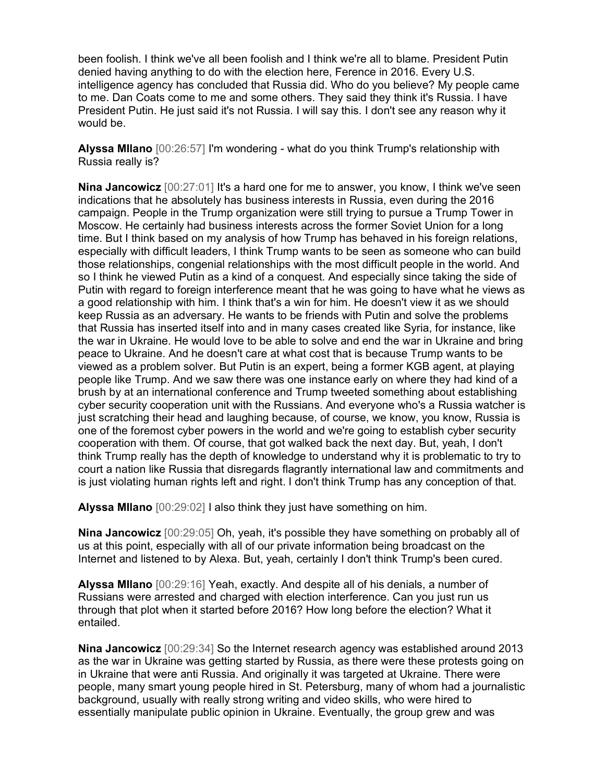been foolish. I think we've all been foolish and I think we're all to blame. President Putin denied having anything to do with the election here, Ference in 2016. Every U.S. intelligence agency has concluded that Russia did. Who do you believe? My people came to me. Dan Coats come to me and some others. They said they think it's Russia. I have President Putin. He just said it's not Russia. I will say this. I don't see any reason why it would be.

Alyssa MIlano [00:26:57] I'm wondering - what do you think Trump's relationship with Russia really is?

Nina Jancowicz [00:27:01] It's a hard one for me to answer, you know, I think we've seen indications that he absolutely has business interests in Russia, even during the 2016 campaign. People in the Trump organization were still trying to pursue a Trump Tower in Moscow. He certainly had business interests across the former Soviet Union for a long time. But I think based on my analysis of how Trump has behaved in his foreign relations, especially with difficult leaders, I think Trump wants to be seen as someone who can build those relationships, congenial relationships with the most difficult people in the world. And so I think he viewed Putin as a kind of a conquest. And especially since taking the side of Putin with regard to foreign interference meant that he was going to have what he views as a good relationship with him. I think that's a win for him. He doesn't view it as we should keep Russia as an adversary. He wants to be friends with Putin and solve the problems that Russia has inserted itself into and in many cases created like Syria, for instance, like the war in Ukraine. He would love to be able to solve and end the war in Ukraine and bring peace to Ukraine. And he doesn't care at what cost that is because Trump wants to be viewed as a problem solver. But Putin is an expert, being a former KGB agent, at playing people like Trump. And we saw there was one instance early on where they had kind of a brush by at an international conference and Trump tweeted something about establishing cyber security cooperation unit with the Russians. And everyone who's a Russia watcher is just scratching their head and laughing because, of course, we know, you know, Russia is one of the foremost cyber powers in the world and we're going to establish cyber security cooperation with them. Of course, that got walked back the next day. But, yeah, I don't think Trump really has the depth of knowledge to understand why it is problematic to try to court a nation like Russia that disregards flagrantly international law and commitments and is just violating human rights left and right. I don't think Trump has any conception of that.

Alyssa MIlano [00:29:02] I also think they just have something on him.

Nina Jancowicz [00:29:05] Oh, yeah, it's possible they have something on probably all of us at this point, especially with all of our private information being broadcast on the Internet and listened to by Alexa. But, yeah, certainly I don't think Trump's been cured.

Alyssa MIlano [00:29:16] Yeah, exactly. And despite all of his denials, a number of Russians were arrested and charged with election interference. Can you just run us through that plot when it started before 2016? How long before the election? What it entailed.

Nina Jancowicz [00:29:34] So the Internet research agency was established around 2013 as the war in Ukraine was getting started by Russia, as there were these protests going on in Ukraine that were anti Russia. And originally it was targeted at Ukraine. There were people, many smart young people hired in St. Petersburg, many of whom had a journalistic background, usually with really strong writing and video skills, who were hired to essentially manipulate public opinion in Ukraine. Eventually, the group grew and was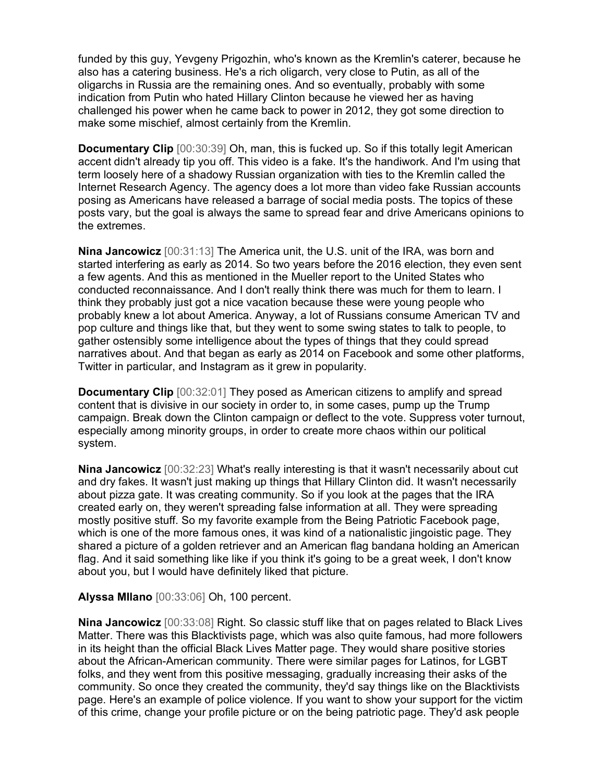funded by this guy, Yevgeny Prigozhin, who's known as the Kremlin's caterer, because he also has a catering business. He's a rich oligarch, very close to Putin, as all of the oligarchs in Russia are the remaining ones. And so eventually, probably with some indication from Putin who hated Hillary Clinton because he viewed her as having challenged his power when he came back to power in 2012, they got some direction to make some mischief, almost certainly from the Kremlin.

**Documentary Clip** [00:30:39] Oh, man, this is fucked up. So if this totally legit American accent didn't already tip you off. This video is a fake. It's the handiwork. And I'm using that term loosely here of a shadowy Russian organization with ties to the Kremlin called the Internet Research Agency. The agency does a lot more than video fake Russian accounts posing as Americans have released a barrage of social media posts. The topics of these posts vary, but the goal is always the same to spread fear and drive Americans opinions to the extremes.

Nina Jancowicz [00:31:13] The America unit, the U.S. unit of the IRA, was born and started interfering as early as 2014. So two years before the 2016 election, they even sent a few agents. And this as mentioned in the Mueller report to the United States who conducted reconnaissance. And I don't really think there was much for them to learn. I think they probably just got a nice vacation because these were young people who probably knew a lot about America. Anyway, a lot of Russians consume American TV and pop culture and things like that, but they went to some swing states to talk to people, to gather ostensibly some intelligence about the types of things that they could spread narratives about. And that began as early as 2014 on Facebook and some other platforms, Twitter in particular, and Instagram as it grew in popularity.

**Documentary Clip** [00:32:01] They posed as American citizens to amplify and spread content that is divisive in our society in order to, in some cases, pump up the Trump campaign. Break down the Clinton campaign or deflect to the vote. Suppress voter turnout, especially among minority groups, in order to create more chaos within our political system.

Nina Jancowicz [00:32:23] What's really interesting is that it wasn't necessarily about cut and dry fakes. It wasn't just making up things that Hillary Clinton did. It wasn't necessarily about pizza gate. It was creating community. So if you look at the pages that the IRA created early on, they weren't spreading false information at all. They were spreading mostly positive stuff. So my favorite example from the Being Patriotic Facebook page, which is one of the more famous ones, it was kind of a nationalistic jingoistic page. They shared a picture of a golden retriever and an American flag bandana holding an American flag. And it said something like like if you think it's going to be a great week, I don't know about you, but I would have definitely liked that picture.

## Alyssa MIlano [00:33:06] Oh, 100 percent.

Nina Jancowicz [00:33:08] Right. So classic stuff like that on pages related to Black Lives Matter. There was this Blacktivists page, which was also quite famous, had more followers in its height than the official Black Lives Matter page. They would share positive stories about the African-American community. There were similar pages for Latinos, for LGBT folks, and they went from this positive messaging, gradually increasing their asks of the community. So once they created the community, they'd say things like on the Blacktivists page. Here's an example of police violence. If you want to show your support for the victim of this crime, change your profile picture or on the being patriotic page. They'd ask people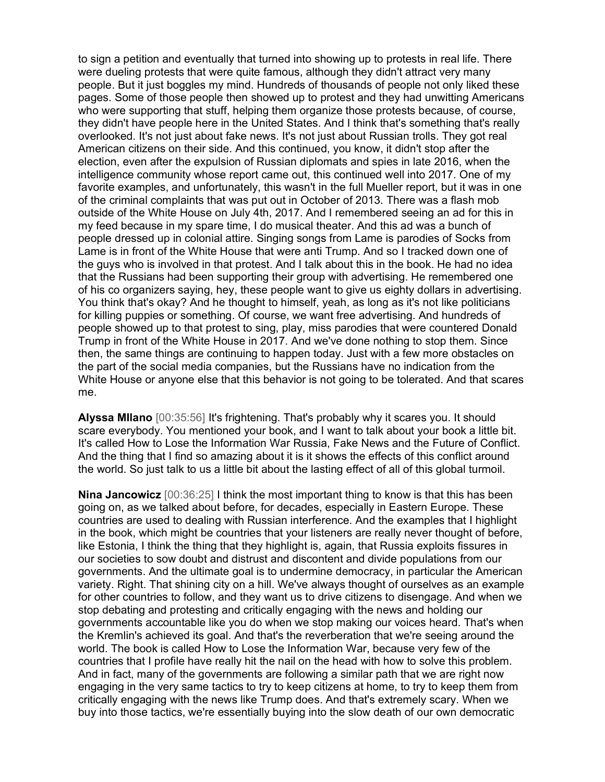to sign a petition and eventually that turned into showing up to protests in real life. There were dueling protests that were quite famous, although they didn't attract very many people. But it just boggles my mind. Hundreds of thousands of people not only liked these pages. Some of those people then showed up to protest and they had unwitting Americans who were supporting that stuff, helping them organize those protests because, of course, they didn't have people here in the United States. And I think that's something that's really overlooked. It's not just about fake news. It's not just about Russian trolls. They got real American citizens on their side. And this continued, you know, it didn't stop after the election, even after the expulsion of Russian diplomats and spies in late 2016, when the intelligence community whose report came out, this continued well into 2017. One of my favorite examples, and unfortunately, this wasn't in the full Mueller report, but it was in one of the criminal complaints that was put out in October of 2013. There was a flash mob outside of the White House on July 4th, 2017. And I remembered seeing an ad for this in my feed because in my spare time, I do musical theater. And this ad was a bunch of people dressed up in colonial attire. Singing songs from Lame is parodies of Socks from Lame is in front of the White House that were anti Trump. And so I tracked down one of the guys who is involved in that protest. And I talk about this in the book. He had no idea that the Russians had been supporting their group with advertising. He remembered one of his co organizers saying, hey, these people want to give us eighty dollars in advertising. You think that's okay? And he thought to himself, yeah, as long as it's not like politicians for killing puppies or something. Of course, we want free advertising. And hundreds of people showed up to that protest to sing, play, miss parodies that were countered Donald Trump in front of the White House in 2017. And we've done nothing to stop them. Since then, the same things are continuing to happen today. Just with a few more obstacles on the part of the social media companies, but the Russians have no indication from the White House or anyone else that this behavior is not going to be tolerated. And that scares me.

Alyssa MIlano [00:35:56] It's frightening. That's probably why it scares you. It should scare everybody. You mentioned your book, and I want to talk about your book a little bit. It's called How to Lose the Information War Russia, Fake News and the Future of Conflict. And the thing that I find so amazing about it is it shows the effects of this conflict around the world. So just talk to us a little bit about the lasting effect of all of this global turmoil.

**Nina Jancowicz** [00:36:25] I think the most important thing to know is that this has been going on, as we talked about before, for decades, especially in Eastern Europe. These countries are used to dealing with Russian interference. And the examples that I highlight in the book, which might be countries that your listeners are really never thought of before, like Estonia, I think the thing that they highlight is, again, that Russia exploits fissures in our societies to sow doubt and distrust and discontent and divide populations from our governments. And the ultimate goal is to undermine democracy, in particular the American variety. Right. That shining city on a hill. We've always thought of ourselves as an example for other countries to follow, and they want us to drive citizens to disengage. And when we stop debating and protesting and critically engaging with the news and holding our governments accountable like you do when we stop making our voices heard. That's when the Kremlin's achieved its goal. And that's the reverberation that we're seeing around the world. The book is called How to Lose the Information War, because very few of the countries that I profile have really hit the nail on the head with how to solve this problem. And in fact, many of the governments are following a similar path that we are right now engaging in the very same tactics to try to keep citizens at home, to try to keep them from critically engaging with the news like Trump does. And that's extremely scary. When we buy into those tactics, we're essentially buying into the slow death of our own democratic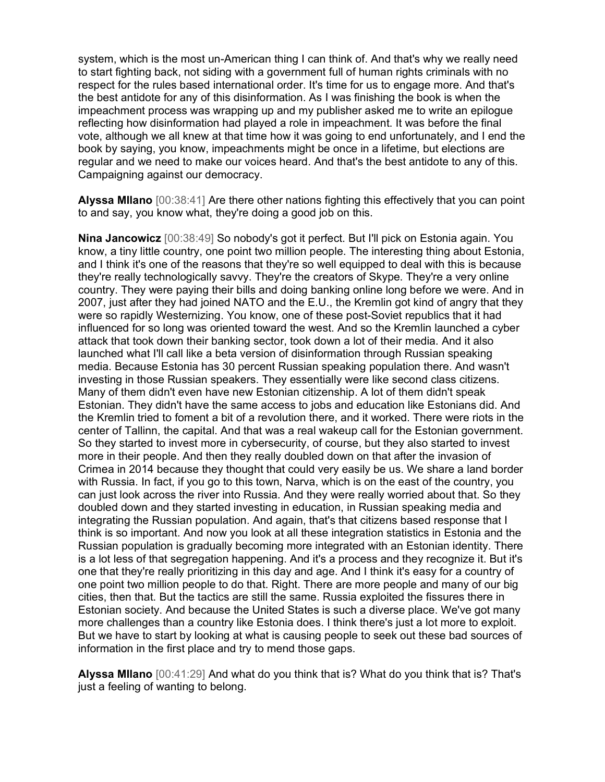system, which is the most un-American thing I can think of. And that's why we really need to start fighting back, not siding with a government full of human rights criminals with no respect for the rules based international order. It's time for us to engage more. And that's the best antidote for any of this disinformation. As I was finishing the book is when the impeachment process was wrapping up and my publisher asked me to write an epilogue reflecting how disinformation had played a role in impeachment. It was before the final vote, although we all knew at that time how it was going to end unfortunately, and I end the book by saying, you know, impeachments might be once in a lifetime, but elections are regular and we need to make our voices heard. And that's the best antidote to any of this. Campaigning against our democracy.

Alyssa Milano [00:38:41] Are there other nations fighting this effectively that you can point to and say, you know what, they're doing a good job on this.

Nina Jancowicz [00:38:49] So nobody's got it perfect. But I'll pick on Estonia again. You know, a tiny little country, one point two million people. The interesting thing about Estonia, and I think it's one of the reasons that they're so well equipped to deal with this is because they're really technologically savvy. They're the creators of Skype. They're a very online country. They were paying their bills and doing banking online long before we were. And in 2007, just after they had joined NATO and the E.U., the Kremlin got kind of angry that they were so rapidly Westernizing. You know, one of these post-Soviet republics that it had influenced for so long was oriented toward the west. And so the Kremlin launched a cyber attack that took down their banking sector, took down a lot of their media. And it also launched what I'll call like a beta version of disinformation through Russian speaking media. Because Estonia has 30 percent Russian speaking population there. And wasn't investing in those Russian speakers. They essentially were like second class citizens. Many of them didn't even have new Estonian citizenship. A lot of them didn't speak Estonian. They didn't have the same access to jobs and education like Estonians did. And the Kremlin tried to foment a bit of a revolution there, and it worked. There were riots in the center of Tallinn, the capital. And that was a real wakeup call for the Estonian government. So they started to invest more in cybersecurity, of course, but they also started to invest more in their people. And then they really doubled down on that after the invasion of Crimea in 2014 because they thought that could very easily be us. We share a land border with Russia. In fact, if you go to this town, Narva, which is on the east of the country, you can just look across the river into Russia. And they were really worried about that. So they doubled down and they started investing in education, in Russian speaking media and integrating the Russian population. And again, that's that citizens based response that I think is so important. And now you look at all these integration statistics in Estonia and the Russian population is gradually becoming more integrated with an Estonian identity. There is a lot less of that segregation happening. And it's a process and they recognize it. But it's one that they're really prioritizing in this day and age. And I think it's easy for a country of one point two million people to do that. Right. There are more people and many of our big cities, then that. But the tactics are still the same. Russia exploited the fissures there in Estonian society. And because the United States is such a diverse place. We've got many more challenges than a country like Estonia does. I think there's just a lot more to exploit. But we have to start by looking at what is causing people to seek out these bad sources of information in the first place and try to mend those gaps.

Alyssa MIlano [00:41:29] And what do you think that is? What do you think that is? That's just a feeling of wanting to belong.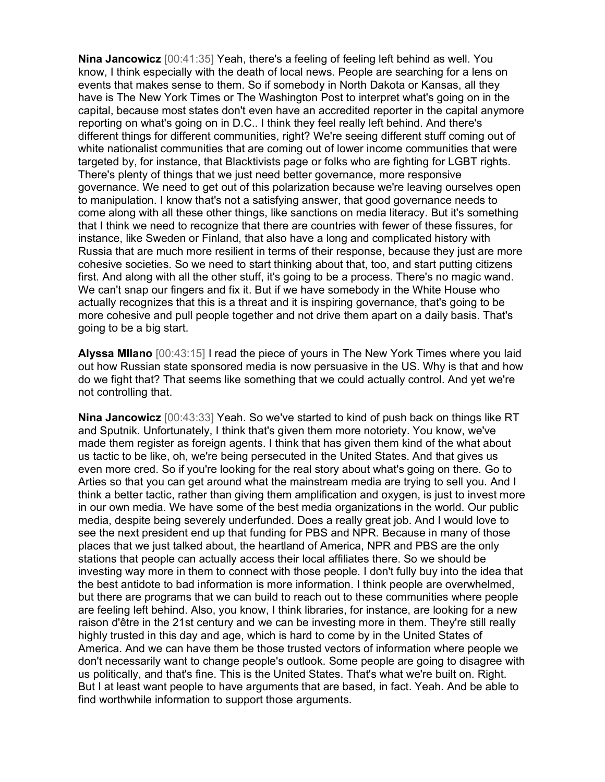Nina Jancowicz [00:41:35] Yeah, there's a feeling of feeling left behind as well. You know, I think especially with the death of local news. People are searching for a lens on events that makes sense to them. So if somebody in North Dakota or Kansas, all they have is The New York Times or The Washington Post to interpret what's going on in the capital, because most states don't even have an accredited reporter in the capital anymore reporting on what's going on in D.C.. I think they feel really left behind. And there's different things for different communities, right? We're seeing different stuff coming out of white nationalist communities that are coming out of lower income communities that were targeted by, for instance, that Blacktivists page or folks who are fighting for LGBT rights. There's plenty of things that we just need better governance, more responsive governance. We need to get out of this polarization because we're leaving ourselves open to manipulation. I know that's not a satisfying answer, that good governance needs to come along with all these other things, like sanctions on media literacy. But it's something that I think we need to recognize that there are countries with fewer of these fissures, for instance, like Sweden or Finland, that also have a long and complicated history with Russia that are much more resilient in terms of their response, because they just are more cohesive societies. So we need to start thinking about that, too, and start putting citizens first. And along with all the other stuff, it's going to be a process. There's no magic wand. We can't snap our fingers and fix it. But if we have somebody in the White House who actually recognizes that this is a threat and it is inspiring governance, that's going to be more cohesive and pull people together and not drive them apart on a daily basis. That's going to be a big start.

Alyssa MIlano [00:43:15] I read the piece of yours in The New York Times where you laid out how Russian state sponsored media is now persuasive in the US. Why is that and how do we fight that? That seems like something that we could actually control. And yet we're not controlling that.

Nina Jancowicz [00:43:33] Yeah. So we've started to kind of push back on things like RT and Sputnik. Unfortunately, I think that's given them more notoriety. You know, we've made them register as foreign agents. I think that has given them kind of the what about us tactic to be like, oh, we're being persecuted in the United States. And that gives us even more cred. So if you're looking for the real story about what's going on there. Go to Arties so that you can get around what the mainstream media are trying to sell you. And I think a better tactic, rather than giving them amplification and oxygen, is just to invest more in our own media. We have some of the best media organizations in the world. Our public media, despite being severely underfunded. Does a really great job. And I would love to see the next president end up that funding for PBS and NPR. Because in many of those places that we just talked about, the heartland of America, NPR and PBS are the only stations that people can actually access their local affiliates there. So we should be investing way more in them to connect with those people. I don't fully buy into the idea that the best antidote to bad information is more information. I think people are overwhelmed, but there are programs that we can build to reach out to these communities where people are feeling left behind. Also, you know, I think libraries, for instance, are looking for a new raison d'être in the 21st century and we can be investing more in them. They're still really highly trusted in this day and age, which is hard to come by in the United States of America. And we can have them be those trusted vectors of information where people we don't necessarily want to change people's outlook. Some people are going to disagree with us politically, and that's fine. This is the United States. That's what we're built on. Right. But I at least want people to have arguments that are based, in fact. Yeah. And be able to find worthwhile information to support those arguments.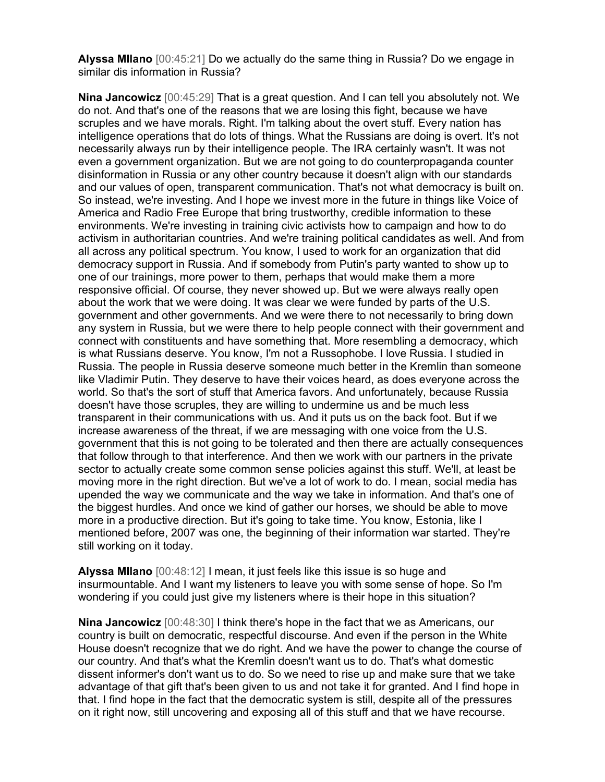Alyssa MIlano [00:45:21] Do we actually do the same thing in Russia? Do we engage in similar dis information in Russia?

Nina Jancowicz [00:45:29] That is a great question. And I can tell you absolutely not. We do not. And that's one of the reasons that we are losing this fight, because we have scruples and we have morals. Right. I'm talking about the overt stuff. Every nation has intelligence operations that do lots of things. What the Russians are doing is overt. It's not necessarily always run by their intelligence people. The IRA certainly wasn't. It was not even a government organization. But we are not going to do counterpropaganda counter disinformation in Russia or any other country because it doesn't align with our standards and our values of open, transparent communication. That's not what democracy is built on. So instead, we're investing. And I hope we invest more in the future in things like Voice of America and Radio Free Europe that bring trustworthy, credible information to these environments. We're investing in training civic activists how to campaign and how to do activism in authoritarian countries. And we're training political candidates as well. And from all across any political spectrum. You know, I used to work for an organization that did democracy support in Russia. And if somebody from Putin's party wanted to show up to one of our trainings, more power to them, perhaps that would make them a more responsive official. Of course, they never showed up. But we were always really open about the work that we were doing. It was clear we were funded by parts of the U.S. government and other governments. And we were there to not necessarily to bring down any system in Russia, but we were there to help people connect with their government and connect with constituents and have something that. More resembling a democracy, which is what Russians deserve. You know, I'm not a Russophobe. I love Russia. I studied in Russia. The people in Russia deserve someone much better in the Kremlin than someone like Vladimir Putin. They deserve to have their voices heard, as does everyone across the world. So that's the sort of stuff that America favors. And unfortunately, because Russia doesn't have those scruples, they are willing to undermine us and be much less transparent in their communications with us. And it puts us on the back foot. But if we increase awareness of the threat, if we are messaging with one voice from the U.S. government that this is not going to be tolerated and then there are actually consequences that follow through to that interference. And then we work with our partners in the private sector to actually create some common sense policies against this stuff. We'll, at least be moving more in the right direction. But we've a lot of work to do. I mean, social media has upended the way we communicate and the way we take in information. And that's one of the biggest hurdles. And once we kind of gather our horses, we should be able to move more in a productive direction. But it's going to take time. You know, Estonia, like I mentioned before, 2007 was one, the beginning of their information war started. They're still working on it today.

Alyssa MIlano [00:48:12] I mean, it just feels like this issue is so huge and insurmountable. And I want my listeners to leave you with some sense of hope. So I'm wondering if you could just give my listeners where is their hope in this situation?

Nina Jancowicz [00:48:30] I think there's hope in the fact that we as Americans, our country is built on democratic, respectful discourse. And even if the person in the White House doesn't recognize that we do right. And we have the power to change the course of our country. And that's what the Kremlin doesn't want us to do. That's what domestic dissent informer's don't want us to do. So we need to rise up and make sure that we take advantage of that gift that's been given to us and not take it for granted. And I find hope in that. I find hope in the fact that the democratic system is still, despite all of the pressures on it right now, still uncovering and exposing all of this stuff and that we have recourse.